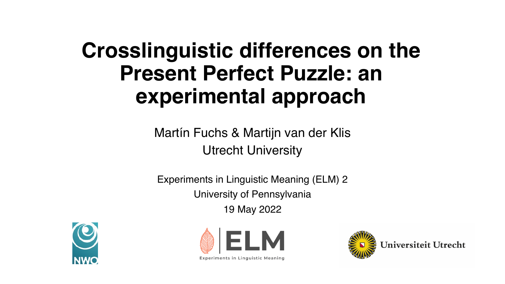#### **Crosslinguistic differences on the Present Perfect Puzzle: an experimental approach**

Martín Fuchs & Martijn van der Klis Utrecht University

Experiments in Linguistic Meaning (ELM) 2 University of Pennsylvania 19 May 2022





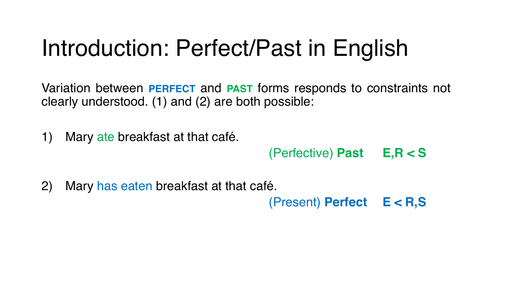#### Introduction: Perfect/Past in English

Variation between **PERFECT** and **PAST** forms responds to constraints not clearly understood. (1) and (2) are both possible:

1) Mary ate breakfast at that café.

(Perfective) **Past E,R < S**

2) Mary has eaten breakfast at that café.

(Present) **Perfect E < R,S**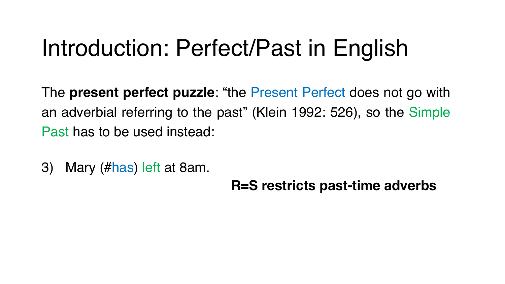#### Introduction: Perfect/Past in English

The **present perfect puzzle**: "the Present Perfect does not go with an adverbial referring to the past" (Klein 1992: 526), so the Simple Past has to be used instead:

3) Mary (#has) left at 8am.

**R=S restricts past-time adverbs**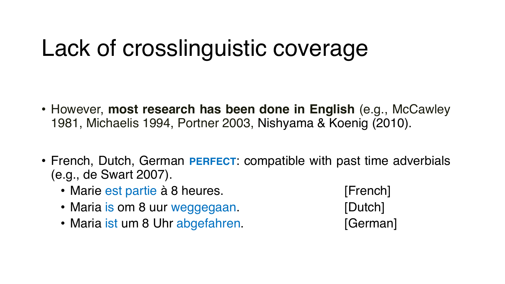#### Lack of crosslinguistic coverage

- However, **most research has been done in English** (e.g., McCawley 1981, Michaelis 1994, Portner 2003, Nishyama & Koenig (2010).
- French, Dutch, German **PERFECT**: compatible with past time adverbials (e.g., de Swart 2007).
	- Marie est partie à 8 heures. [French]
	- Maria is om 8 uur weggegaan. [Dutch]
	- Maria ist um 8 Uhr abgefahren. [German]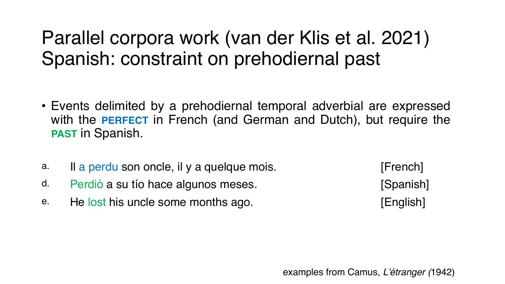#### Parallel corpora work (van der Klis et al. 2021) Spanish: constraint on prehodiernal past

- Events delimited by a prehodiernal temporal adverbial are expressed with the **PERFECT** in French (and German and Dutch), but require the **PAST** in Spanish.
- a. Il a perdu son oncle, il y a quelque mois. [French]
- d. Perdió a su tío hace algunos meses. [Spanish]
- e. He lost his uncle some months ago. [English]

examples from Camus, *L'étranger (*1942)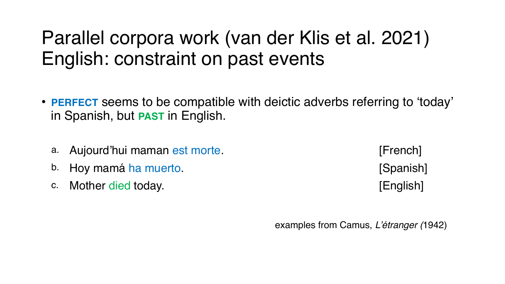#### Parallel corpora work (van der Klis et al. 2021) English: constraint on past events

- **PERFECT** seems to be compatible with deictic adverbs referring to 'today' in Spanish, but **PAST** in English.
	- a. Aujourd'hui maman est morte. [French]
	- b. Hoy mamá ha muerto. **Example 19 and 19 and 19 and 19 and 19 and 19 and 19 and 19 and 19 and 19 and 19 and 19 and 19 and 19 and 19 and 19 and 19 and 19 and 19 and 19 and 19 and 19 and 19 and 19 and 19 and 19 and 19 and 1**
	- c. Mother died today. **Example 20 Constructed English** [English]

examples from Camus, *L'étranger (*1942)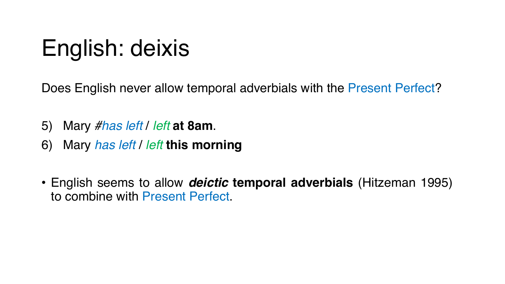# English: deixis

Does English never allow temporal adverbials with the Present Perfect?

- 5) Mary *#has left* / *left* **at 8am**.
- 6) Mary *has left* / *left* **this morning**
- English seems to allow *deictic* **temporal adverbials** (Hitzeman 1995) to combine with Present Perfect.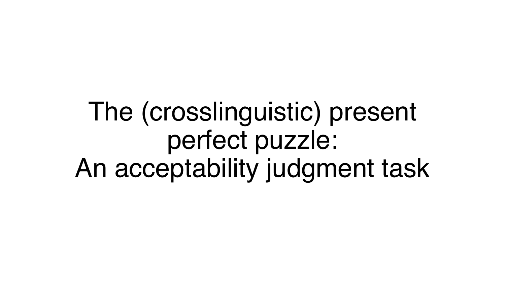The (crosslinguistic) present perfect puzzle: An acceptability judgment task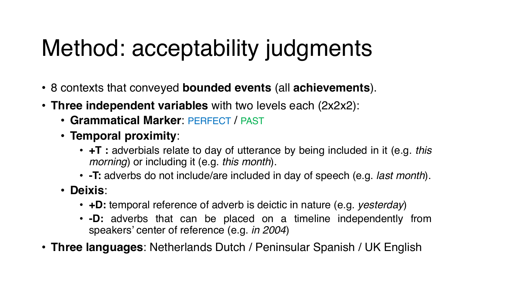## Method: acceptability judgments

- 8 contexts that conveyed **bounded events** (all **achievements**).
- **Three independent variables** with two levels each (2x2x2):
	- **Grammatical Marker**: PERFECT / PAST
	- **Temporal proximity**:
		- **+T :** adverbials relate to day of utterance by being included in it (e.g. *this morning*) or including it (e.g. *this month*).
		- **-T:** adverbs do not include/are included in day of speech (e.g. *last month*).
	- **Deixis**:
		- **+D:** temporal reference of adverb is deictic in nature (e.g. *yesterday*)
		- **-D:** adverbs that can be placed on a timeline independently from speakers' center of reference (e.g. *in 2004*)
- **Three languages**: Netherlands Dutch / Peninsular Spanish / UK English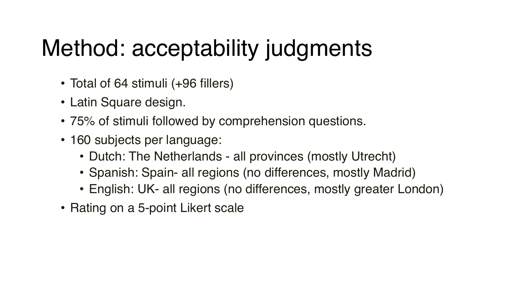# Method: acceptability judgments

- Total of 64 stimuli (+96 fillers)
- Latin Square design.
- 75% of stimuli followed by comprehension questions.
- 160 subjects per language:
	- Dutch: The Netherlands all provinces (mostly Utrecht)
	- Spanish: Spain- all regions (no differences, mostly Madrid)
	- English: UK- all regions (no differences, mostly greater London)
- Rating on a 5-point Likert scale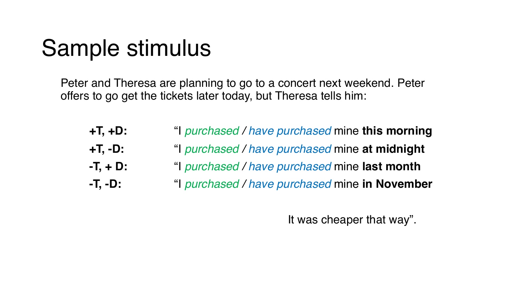#### Sample stimulus

Peter and Theresa are planning to go to a concert next weekend. Peter offers to go get the tickets later today, but Theresa tells him:

| +T, +D:    | "I purchased / have purchased mine this morning |
|------------|-------------------------------------------------|
| +T, -D:    | "I purchased / have purchased mine at midnight  |
| -T. + D: . | "I purchased / have purchased mine last month   |
| -T, -D:    | "I purchased / have purchased mine in November  |

It was cheaper that way".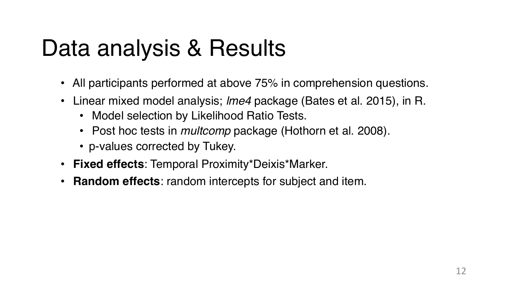#### Data analysis & Results

- All participants performed at above 75% in comprehension questions.
- Linear mixed model analysis; *lme4* package (Bates et al. 2015), in R.
	- Model selection by Likelihood Ratio Tests.
	- Post hoc tests in *multcomp* package (Hothorn et al. 2008).
	- p-values corrected by Tukey.
- **Fixed effects**: Temporal Proximity\*Deixis\*Marker.
- **Random effects**: random intercepts for subject and item.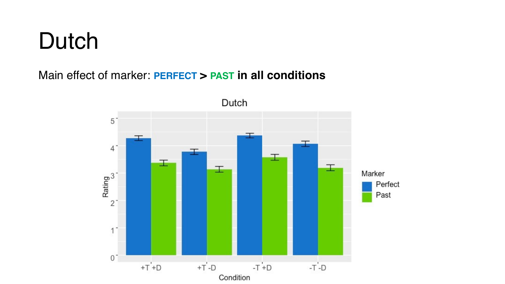#### Dutch

#### Main effect of marker: **PERFECT > PAST in all conditions**

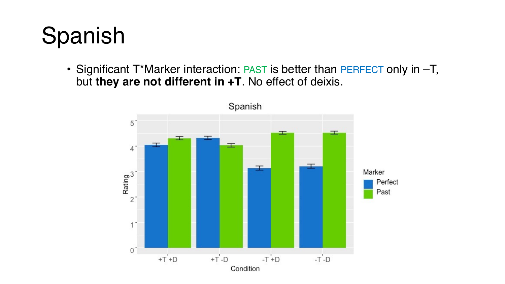# Spanish

• Significant T\*Marker interaction: PAST is better than PERFECT only in -T, but **they are not different in +T**. No effect of deixis.

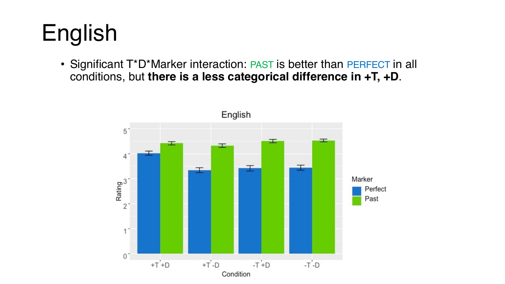# English

• Significant T\*D\*Marker interaction: PAST is better than PERFECT in all conditions, but **there is a less categorical difference in +T, +D**.

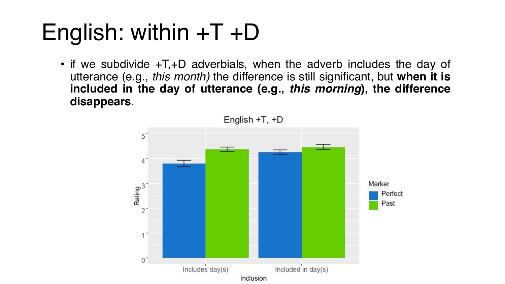# English: within +T +D

• if we subdivide +T,+D adverbials, when the adverb includes the day of utterance (e.g., *this month)* the difference is still significant, but **when it is included in the day of utterance (e.g.,** *this morning***), the difference disappears**.

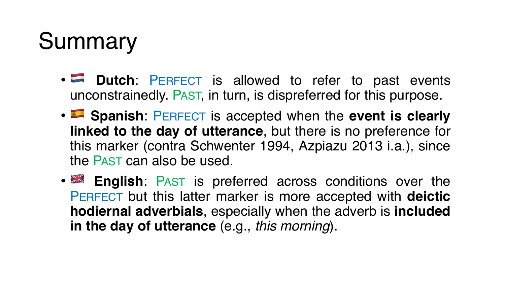# Summary

- **Dutch**: PERFECT is allowed to refer to past events unconstrainedly. PAST, in turn, is dispreferred for this purpose.
- **Spanish**: PERFECT is accepted when the **event is clearly linked to the day of utterance**, but there is no preference for this marker (contra Schwenter 1994, Azpiazu 2013 i.a.), since the PAST can also be used.
- **English:** PAST is preferred across conditions over the PERFECT but this latter marker is more accepted with **deictic hodiernal adverbials**, especially when the adverb is **included in the day of utterance** (e.g., *this morning*).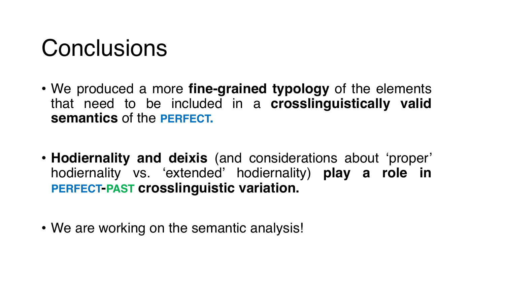#### **Conclusions**

- We produced a more **fine-grained typology** of the elements that need to be included in a **crosslinguistically valid semantics** of the **PERFECT.**
- **Hodiernality and deixis** (and considerations about 'proper' hodiernality vs. 'extended' hodiernality) **play a role in PERFECT-PAST crosslinguistic variation.**
- We are working on the semantic analysis!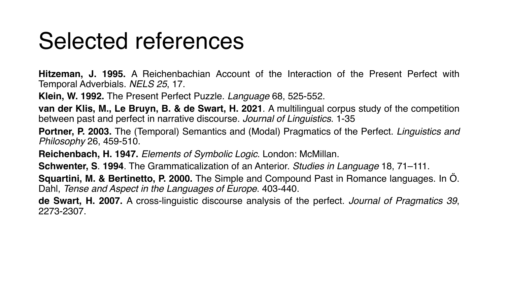#### Selected references

**Hitzeman, J. 1995.** A Reichenbachian Account of the Interaction of the Present Perfect with Temporal Adverbials. *NELS 25*, 17.

**Klein, W. 1992.** The Present Perfect Puzzle. *Language* 68, 525-552.

**van der Klis, M., Le Bruyn, B. & de Swart, H. 2021**. A multilingual corpus study of the competition between past and perfect in narrative discourse. *Journal of Linguistics*. 1-35

**Portner, P. 2003.** The (Temporal) Semantics and (Modal) Pragmatics of the Perfect. *Linguistics and Philosophy* 26, 459-510.

**Reichenbach, H. 1947.** *Elements of Symbolic Logic*. London: McMillan.

**Schwenter, S**. **1994**. The Grammaticalization of an Anterior. *Studies in Language* 18, 71–111.

**Squartini, M. & Bertinetto, P. 2000.** The Simple and Compound Past in Romance languages. In Ö. Dahl, *Tense and Aspect in the Languages of Europe*. 403-440.

**de Swart, H. 2007.** A cross-linguistic discourse analysis of the perfect. *Journal of Pragmatics 39*, 2273-2307.